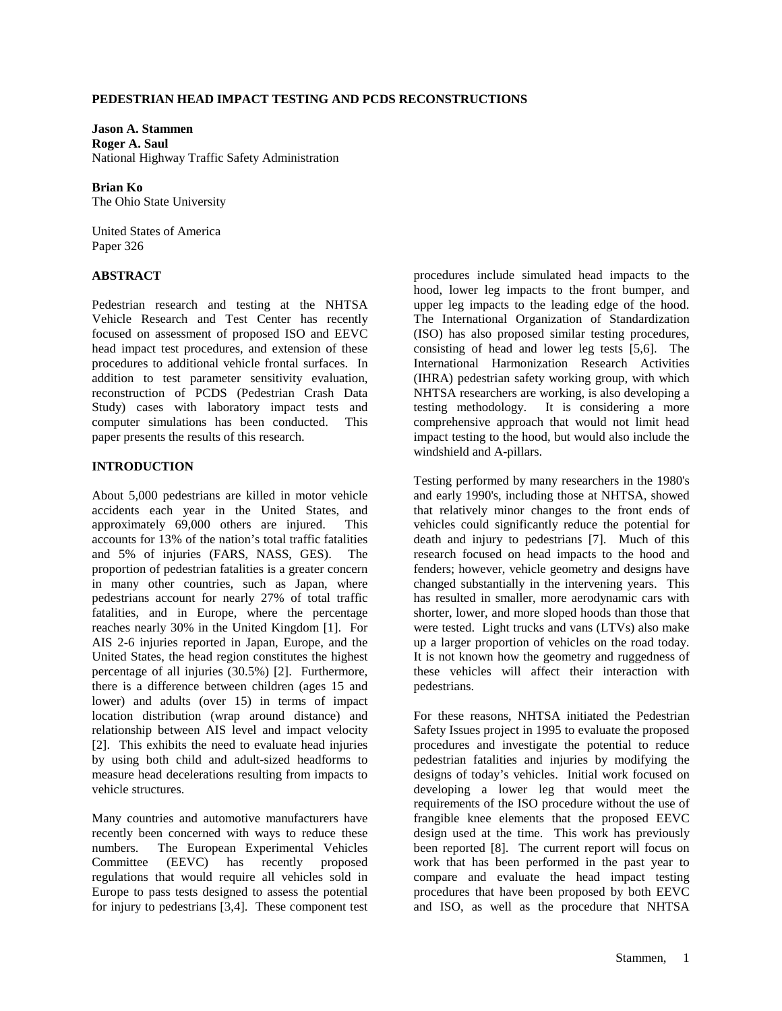## **PEDESTRIAN HEAD IMPACT TESTING AND PCDS RECONSTRUCTIONS**

**Jason A. Stammen Roger A. Saul**  National Highway Traffic Safety Administration

**Brian Ko**  The Ohio State University

United States of America Paper 326

# **ABSTRACT**

Pedestrian research and testing at the NHTSA Vehicle Research and Test Center has recently focused on assessment of proposed ISO and EEVC head impact test procedures, and extension of these procedures to additional vehicle frontal surfaces. In addition to test parameter sensitivity evaluation, reconstruction of PCDS (Pedestrian Crash Data Study) cases with laboratory impact tests and computer simulations has been conducted. This paper presents the results of this research.

### **INTRODUCTION**

About 5,000 pedestrians are killed in motor vehicle accidents each year in the United States, and approximately 69,000 others are injured. This accounts for 13% of the nation's total traffic fatalities and 5% of injuries (FARS, NASS, GES). The proportion of pedestrian fatalities is a greater concern in many other countries, such as Japan, where pedestrians account for nearly 27% of total traffic fatalities, and in Europe, where the percentage reaches nearly 30% in the United Kingdom [1]. For AIS 2-6 injuries reported in Japan, Europe, and the United States, the head region constitutes the highest percentage of all injuries (30.5%) [2]. Furthermore, there is a difference between children (ages 15 and lower) and adults (over 15) in terms of impact location distribution (wrap around distance) and relationship between AIS level and impact velocity [2]. This exhibits the need to evaluate head injuries by using both child and adult-sized headforms to measure head decelerations resulting from impacts to vehicle structures.

Many countries and automotive manufacturers have recently been concerned with ways to reduce these numbers. The European Experimental Vehicles Committee (EEVC) has recently proposed regulations that would require all vehicles sold in Europe to pass tests designed to assess the potential for injury to pedestrians [3,4]. These component test

procedures include simulated head impacts to the hood, lower leg impacts to the front bumper, and upper leg impacts to the leading edge of the hood. The International Organization of Standardization (ISO) has also proposed similar testing procedures, consisting of head and lower leg tests [5,6]. The International Harmonization Research Activities (IHRA) pedestrian safety working group, with which NHTSA researchers are working, is also developing a testing methodology. It is considering a more comprehensive approach that would not limit head impact testing to the hood, but would also include the windshield and A-pillars.

Testing performed by many researchers in the 1980's and early 1990's, including those at NHTSA, showed that relatively minor changes to the front ends of vehicles could significantly reduce the potential for death and injury to pedestrians [7]. Much of this research focused on head impacts to the hood and fenders; however, vehicle geometry and designs have changed substantially in the intervening years. This has resulted in smaller, more aerodynamic cars with shorter, lower, and more sloped hoods than those that were tested. Light trucks and vans (LTVs) also make up a larger proportion of vehicles on the road today. It is not known how the geometry and ruggedness of these vehicles will affect their interaction with pedestrians.

For these reasons, NHTSA initiated the Pedestrian Safety Issues project in 1995 to evaluate the proposed procedures and investigate the potential to reduce pedestrian fatalities and injuries by modifying the designs of today's vehicles. Initial work focused on developing a lower leg that would meet the requirements of the ISO procedure without the use of frangible knee elements that the proposed EEVC design used at the time. This work has previously been reported [8]. The current report will focus on work that has been performed in the past year to compare and evaluate the head impact testing procedures that have been proposed by both EEVC and ISO, as well as the procedure that NHTSA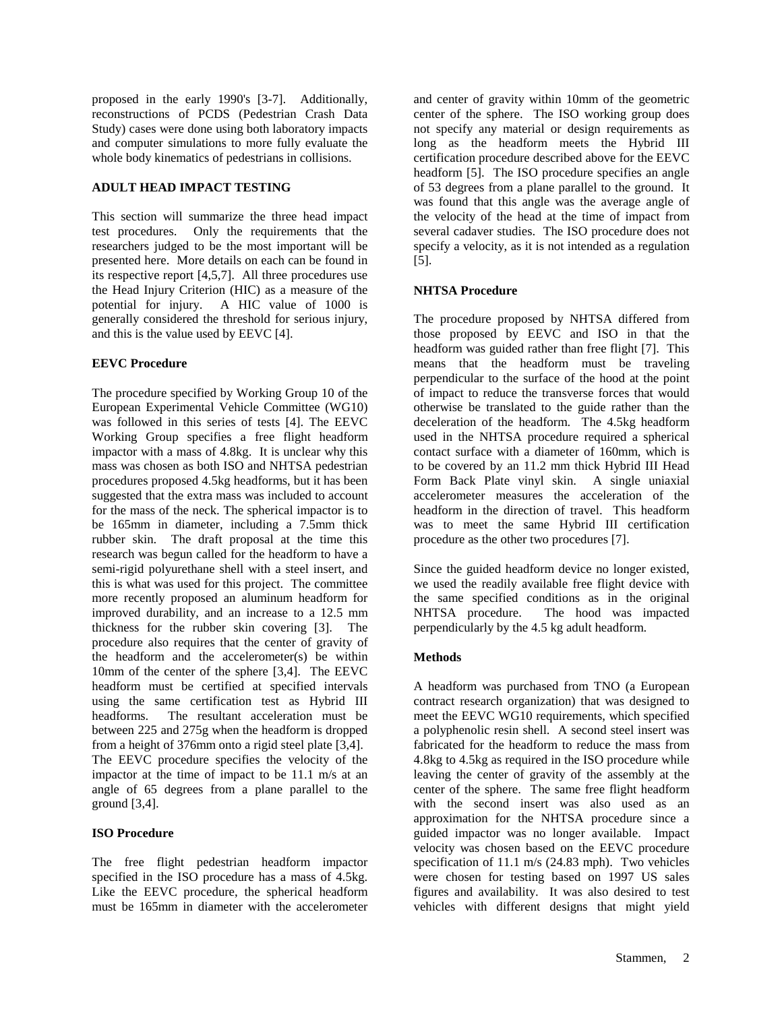proposed in the early 1990's [3-7]. Additionally, reconstructions of PCDS (Pedestrian Crash Data Study) cases were done using both laboratory impacts and computer simulations to more fully evaluate the whole body kinematics of pedestrians in collisions.

# **ADULT HEAD IMPACT TESTING**

This section will summarize the three head impact test procedures. Only the requirements that the researchers judged to be the most important will be presented here. More details on each can be found in its respective report [4,5,7]. All three procedures use the Head Injury Criterion (HIC) as a measure of the potential for injury. A HIC value of 1000 is generally considered the threshold for serious injury, and this is the value used by EEVC [4].

### **EEVC Procedure**

The procedure specified by Working Group 10 of the European Experimental Vehicle Committee (WG10) was followed in this series of tests [4]. The EEVC Working Group specifies a free flight headform impactor with a mass of 4.8kg. It is unclear why this mass was chosen as both ISO and NHTSA pedestrian procedures proposed 4.5kg headforms, but it has been suggested that the extra mass was included to account for the mass of the neck. The spherical impactor is to be 165mm in diameter, including a 7.5mm thick rubber skin. The draft proposal at the time this research was begun called for the headform to have a semi-rigid polyurethane shell with a steel insert, and this is what was used for this project. The committee more recently proposed an aluminum headform for improved durability, and an increase to a 12.5 mm thickness for the rubber skin covering [3]. The procedure also requires that the center of gravity of the headform and the accelerometer(s) be within 10mm of the center of the sphere [3,4]. The EEVC headform must be certified at specified intervals using the same certification test as Hybrid III headforms. The resultant acceleration must be The resultant acceleration must be between 225 and 275g when the headform is dropped from a height of 376mm onto a rigid steel plate [3,4]. The EEVC procedure specifies the velocity of the impactor at the time of impact to be 11.1 m/s at an angle of 65 degrees from a plane parallel to the ground [3,4].

# **ISO Procedure**

The free flight pedestrian headform impactor specified in the ISO procedure has a mass of 4.5kg. Like the EEVC procedure, the spherical headform must be 165mm in diameter with the accelerometer

and center of gravity within 10mm of the geometric center of the sphere. The ISO working group does not specify any material or design requirements as long as the headform meets the Hybrid III certification procedure described above for the EEVC headform [5]. The ISO procedure specifies an angle of 53 degrees from a plane parallel to the ground. It was found that this angle was the average angle of the velocity of the head at the time of impact from several cadaver studies. The ISO procedure does not specify a velocity, as it is not intended as a regulation [5].

# **NHTSA Procedure**

The procedure proposed by NHTSA differed from those proposed by EEVC and ISO in that the headform was guided rather than free flight [7]. This means that the headform must be traveling perpendicular to the surface of the hood at the point of impact to reduce the transverse forces that would otherwise be translated to the guide rather than the deceleration of the headform. The 4.5kg headform used in the NHTSA procedure required a spherical contact surface with a diameter of 160mm, which is to be covered by an 11.2 mm thick Hybrid III Head Form Back Plate vinyl skin. A single uniaxial accelerometer measures the acceleration of the headform in the direction of travel. This headform was to meet the same Hybrid III certification procedure as the other two procedures [7].

Since the guided headform device no longer existed, we used the readily available free flight device with the same specified conditions as in the original NHTSA procedure. The hood was impacted perpendicularly by the 4.5 kg adult headform.

# **Methods**

A headform was purchased from TNO (a European contract research organization) that was designed to meet the EEVC WG10 requirements, which specified a polyphenolic resin shell. A second steel insert was fabricated for the headform to reduce the mass from 4.8kg to 4.5kg as required in the ISO procedure while leaving the center of gravity of the assembly at the center of the sphere. The same free flight headform with the second insert was also used as an approximation for the NHTSA procedure since a guided impactor was no longer available. Impact velocity was chosen based on the EEVC procedure specification of 11.1 m/s (24.83 mph). Two vehicles were chosen for testing based on 1997 US sales figures and availability. It was also desired to test vehicles with different designs that might yield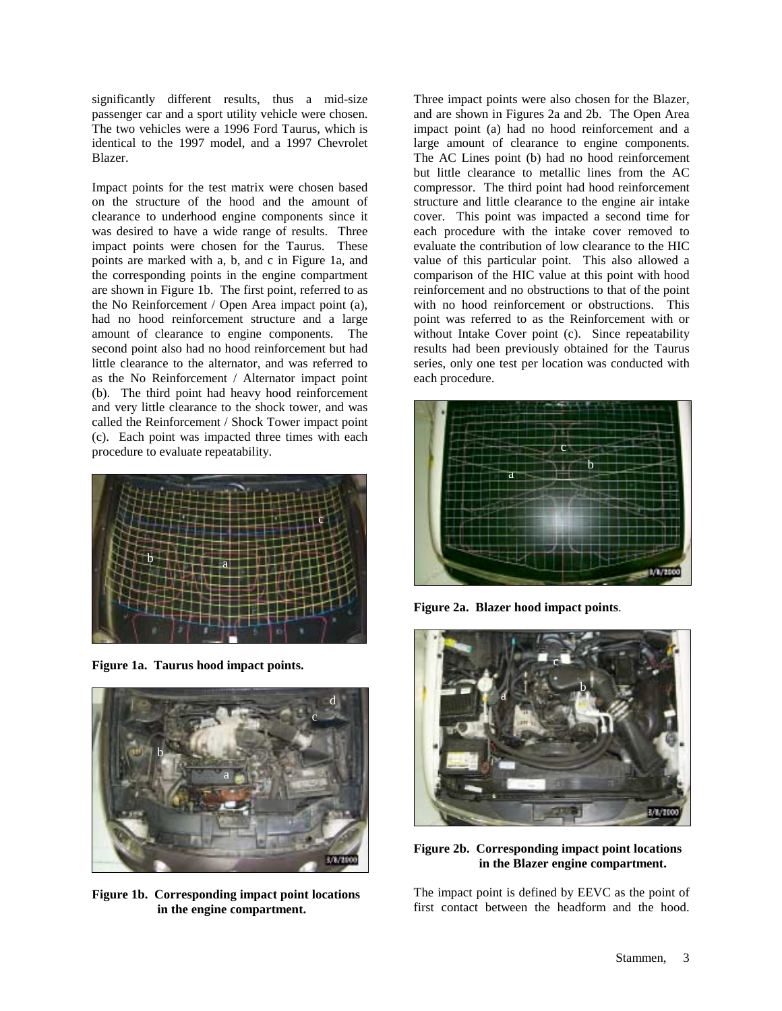significantly different results, thus a mid-size passenger car and a sport utility vehicle were chosen. The two vehicles were a 1996 Ford Taurus, which is identical to the 1997 model, and a 1997 Chevrolet Blazer.

Impact points for the test matrix were chosen based on the structure of the hood and the amount of clearance to underhood engine components since it was desired to have a wide range of results. Three impact points were chosen for the Taurus. These points are marked with a, b, and c in Figure 1a, and the corresponding points in the engine compartment are shown in Figure 1b. The first point, referred to as the No Reinforcement / Open Area impact point (a), had no hood reinforcement structure and a large amount of clearance to engine components. The second point also had no hood reinforcement but had little clearance to the alternator, and was referred to as the No Reinforcement / Alternator impact point (b). The third point had heavy hood reinforcement and very little clearance to the shock tower, and was called the Reinforcement / Shock Tower impact point (c). Each point was impacted three times with each procedure to evaluate repeatability.



**Figure 1a. Taurus hood impact points.** 



**Figure 1b. Corresponding impact point locations in the engine compartment.** 

Three impact points were also chosen for the Blazer, and are shown in Figures 2a and 2b. The Open Area impact point (a) had no hood reinforcement and a large amount of clearance to engine components. The AC Lines point (b) had no hood reinforcement but little clearance to metallic lines from the AC compressor. The third point had hood reinforcement structure and little clearance to the engine air intake cover. This point was impacted a second time for each procedure with the intake cover removed to evaluate the contribution of low clearance to the HIC value of this particular point. This also allowed a comparison of the HIC value at this point with hood reinforcement and no obstructions to that of the point with no hood reinforcement or obstructions. This point was referred to as the Reinforcement with or without Intake Cover point (c). Since repeatability results had been previously obtained for the Taurus series, only one test per location was conducted with each procedure.



**Figure 2a. Blazer hood impact points**.



**Figure 2b. Corresponding impact point locations in the Blazer engine compartment.** 

The impact point is defined by EEVC as the point of first contact between the headform and the hood.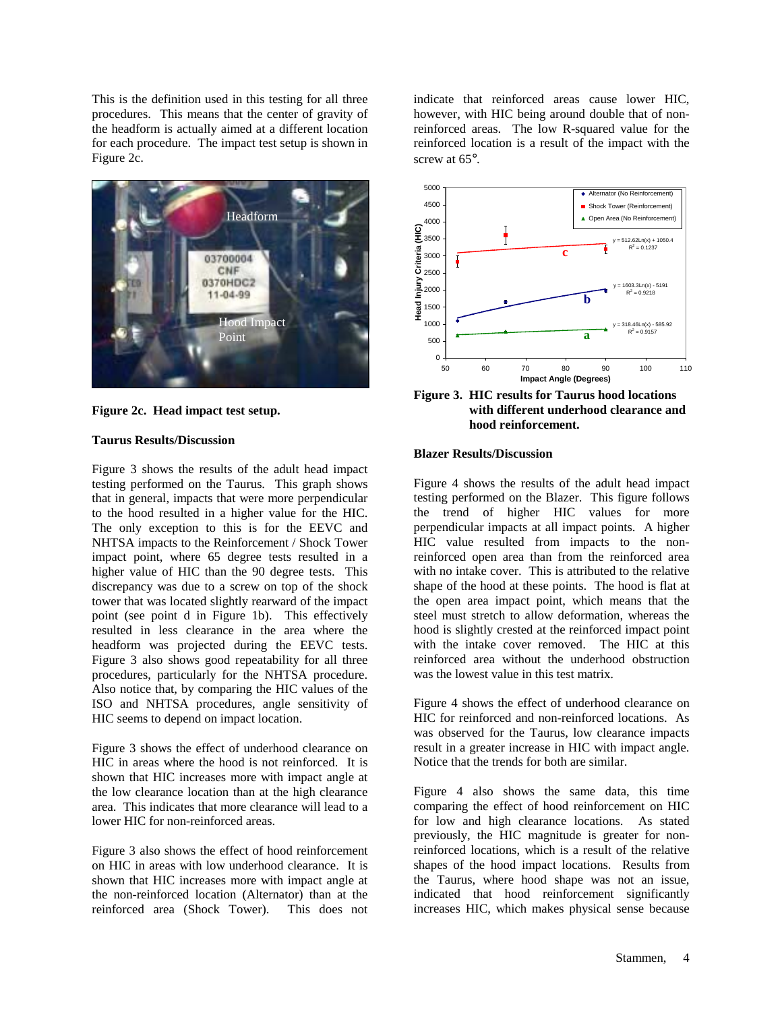This is the definition used in this testing for all three procedures. This means that the center of gravity of the headform is actually aimed at a different location for each procedure. The impact test setup is shown in Figure 2c.



**Figure 2c. Head impact test setup.** 

#### **Taurus Results/Discussion**

Figure 3 shows the results of the adult head impact testing performed on the Taurus. This graph shows that in general, impacts that were more perpendicular to the hood resulted in a higher value for the HIC. The only exception to this is for the EEVC and NHTSA impacts to the Reinforcement / Shock Tower impact point, where 65 degree tests resulted in a higher value of HIC than the 90 degree tests. This discrepancy was due to a screw on top of the shock tower that was located slightly rearward of the impact point (see point d in Figure 1b). This effectively resulted in less clearance in the area where the headform was projected during the EEVC tests. Figure 3 also shows good repeatability for all three procedures, particularly for the NHTSA procedure. Also notice that, by comparing the HIC values of the ISO and NHTSA procedures, angle sensitivity of HIC seems to depend on impact location.

Figure 3 shows the effect of underhood clearance on HIC in areas where the hood is not reinforced. It is shown that HIC increases more with impact angle at the low clearance location than at the high clearance area. This indicates that more clearance will lead to a lower HIC for non-reinforced areas.

Figure 3 also shows the effect of hood reinforcement on HIC in areas with low underhood clearance. It is shown that HIC increases more with impact angle at the non-reinforced location (Alternator) than at the reinforced area (Shock Tower). This does not

indicate that reinforced areas cause lower HIC, however, with HIC being around double that of nonreinforced areas. The low R-squared value for the reinforced location is a result of the impact with the screw at  $65^\circ$ .



**Figure 3. HIC results for Taurus hood locations with different underhood clearance and hood reinforcement.** 

#### **Blazer Results/Discussion**

Figure 4 shows the results of the adult head impact testing performed on the Blazer. This figure follows the trend of higher HIC values for more perpendicular impacts at all impact points. A higher HIC value resulted from impacts to the nonreinforced open area than from the reinforced area with no intake cover. This is attributed to the relative shape of the hood at these points. The hood is flat at the open area impact point, which means that the steel must stretch to allow deformation, whereas the hood is slightly crested at the reinforced impact point with the intake cover removed. The HIC at this reinforced area without the underhood obstruction was the lowest value in this test matrix.

Figure 4 shows the effect of underhood clearance on HIC for reinforced and non-reinforced locations. As was observed for the Taurus, low clearance impacts result in a greater increase in HIC with impact angle. Notice that the trends for both are similar.

Figure 4 also shows the same data, this time comparing the effect of hood reinforcement on HIC for low and high clearance locations. As stated previously, the HIC magnitude is greater for nonreinforced locations, which is a result of the relative shapes of the hood impact locations. Results from the Taurus, where hood shape was not an issue, indicated that hood reinforcement significantly increases HIC, which makes physical sense because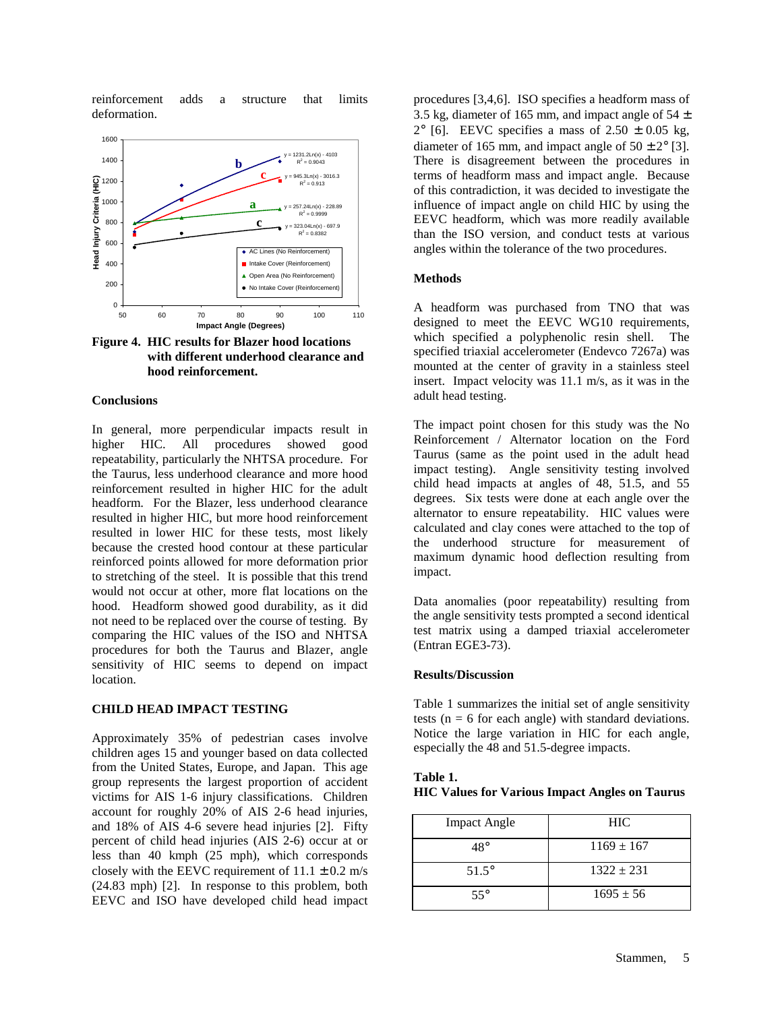reinforcement adds a structure that limits deformation.



**Figure 4. HIC results for Blazer hood locations with different underhood clearance and hood reinforcement.** 

#### **Conclusions**

In general, more perpendicular impacts result in higher HIC. All procedures showed good repeatability, particularly the NHTSA procedure. For the Taurus, less underhood clearance and more hood reinforcement resulted in higher HIC for the adult headform. For the Blazer, less underhood clearance resulted in higher HIC, but more hood reinforcement resulted in lower HIC for these tests, most likely because the crested hood contour at these particular reinforced points allowed for more deformation prior to stretching of the steel. It is possible that this trend would not occur at other, more flat locations on the hood. Headform showed good durability, as it did not need to be replaced over the course of testing. By comparing the HIC values of the ISO and NHTSA procedures for both the Taurus and Blazer, angle sensitivity of HIC seems to depend on impact location.

#### **CHILD HEAD IMPACT TESTING**

Approximately 35% of pedestrian cases involve children ages 15 and younger based on data collected from the United States, Europe, and Japan. This age group represents the largest proportion of accident victims for AIS 1-6 injury classifications. Children account for roughly 20% of AIS 2-6 head injuries, and 18% of AIS 4-6 severe head injuries [2]. Fifty percent of child head injuries (AIS 2-6) occur at or less than 40 kmph (25 mph), which corresponds closely with the EEVC requirement of  $11.1 \pm 0.2$  m/s (24.83 mph) [2]. In response to this problem, both EEVC and ISO have developed child head impact

procedures [3,4,6]. ISO specifies a headform mass of 3.5 kg, diameter of 165 mm, and impact angle of  $54 \pm 1$  $2^{\circ}$  [6]. EEVC specifies a mass of  $2.50 \pm 0.05$  kg, diameter of 165 mm, and impact angle of  $50 \pm 2^{\circ}$  [3]. There is disagreement between the procedures in terms of headform mass and impact angle. Because of this contradiction, it was decided to investigate the influence of impact angle on child HIC by using the EEVC headform, which was more readily available than the ISO version, and conduct tests at various angles within the tolerance of the two procedures.

#### **Methods**

A headform was purchased from TNO that was designed to meet the EEVC WG10 requirements, which specified a polyphenolic resin shell. The specified triaxial accelerometer (Endevco 7267a) was mounted at the center of gravity in a stainless steel insert. Impact velocity was 11.1 m/s, as it was in the adult head testing.

The impact point chosen for this study was the No Reinforcement / Alternator location on the Ford Taurus (same as the point used in the adult head impact testing). Angle sensitivity testing involved child head impacts at angles of 48, 51.5, and 55 degrees. Six tests were done at each angle over the alternator to ensure repeatability. HIC values were calculated and clay cones were attached to the top of the underhood structure for measurement of maximum dynamic hood deflection resulting from impact.

Data anomalies (poor repeatability) resulting from the angle sensitivity tests prompted a second identical test matrix using a damped triaxial accelerometer (Entran EGE3-73).

#### **Results/Discussion**

Table 1 summarizes the initial set of angle sensitivity tests ( $n = 6$  for each angle) with standard deviations. Notice the large variation in HIC for each angle, especially the 48 and 51.5-degree impacts.

| Table 1.                                              |  |
|-------------------------------------------------------|--|
| <b>HIC Values for Various Impact Angles on Taurus</b> |  |

| <b>Impact Angle</b> | HIC.           |
|---------------------|----------------|
| 48°                 | $1169 \pm 167$ |
| $51.5^{\circ}$      | $1322 \pm 231$ |
| $55^\circ$          | $1695 \pm 56$  |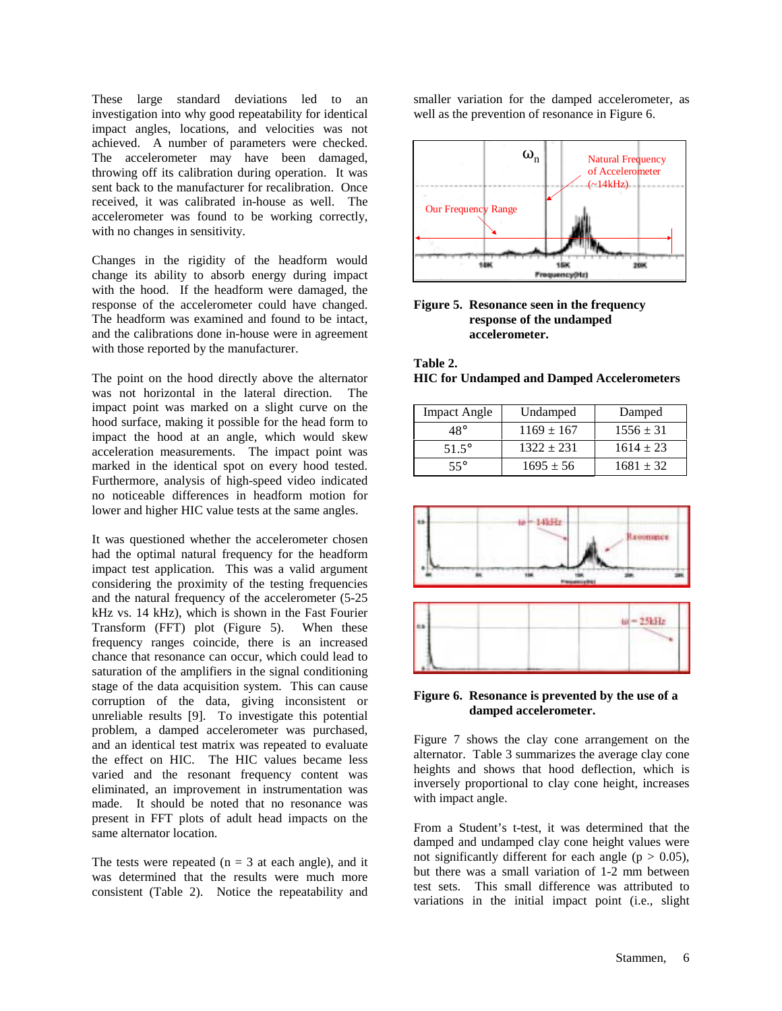These large standard deviations led to an investigation into why good repeatability for identical impact angles, locations, and velocities was not achieved. A number of parameters were checked. The accelerometer may have been damaged, throwing off its calibration during operation. It was sent back to the manufacturer for recalibration. Once received, it was calibrated in-house as well. The accelerometer was found to be working correctly, with no changes in sensitivity.

Changes in the rigidity of the headform would change its ability to absorb energy during impact with the hood. If the headform were damaged, the response of the accelerometer could have changed. The headform was examined and found to be intact, and the calibrations done in-house were in agreement with those reported by the manufacturer.

The point on the hood directly above the alternator was not horizontal in the lateral direction. The impact point was marked on a slight curve on the hood surface, making it possible for the head form to impact the hood at an angle, which would skew acceleration measurements. The impact point was marked in the identical spot on every hood tested. Furthermore, analysis of high-speed video indicated no noticeable differences in headform motion for lower and higher HIC value tests at the same angles.

It was questioned whether the accelerometer chosen had the optimal natural frequency for the headform impact test application. This was a valid argument considering the proximity of the testing frequencies and the natural frequency of the accelerometer (5-25 kHz vs. 14 kHz), which is shown in the Fast Fourier Transform (FFT) plot (Figure 5). When these frequency ranges coincide, there is an increased chance that resonance can occur, which could lead to saturation of the amplifiers in the signal conditioning stage of the data acquisition system. This can cause corruption of the data, giving inconsistent or unreliable results [9]. To investigate this potential problem, a damped accelerometer was purchased, and an identical test matrix was repeated to evaluate the effect on HIC. The HIC values became less varied and the resonant frequency content was eliminated, an improvement in instrumentation was made. It should be noted that no resonance was present in FFT plots of adult head impacts on the same alternator location.

The tests were repeated ( $n = 3$  at each angle), and it was determined that the results were much more consistent (Table 2). Notice the repeatability and

smaller variation for the damped accelerometer, as well as the prevention of resonance in Figure 6.





**Table 2.** 

**HIC for Undamped and Damped Accelerometers** 

| <b>Impact Angle</b> | Undamped       | Damped        |
|---------------------|----------------|---------------|
| 48°                 | $1169 \pm 167$ | $1556 \pm 31$ |
| 51.5°               | $1322 + 231$   | $1614 \pm 23$ |
| 55°                 | $1695 \pm 56$  | $1681 + 32$   |



# **Figure 6. Resonance is prevented by the use of a damped accelerometer.**

Figure 7 shows the clay cone arrangement on the alternator. Table 3 summarizes the average clay cone heights and shows that hood deflection, which is inversely proportional to clay cone height, increases with impact angle.

From a Student's t-test, it was determined that the damped and undamped clay cone height values were not significantly different for each angle ( $p > 0.05$ ), but there was a small variation of 1-2 mm between test sets. This small difference was attributed to variations in the initial impact point (i.e., slight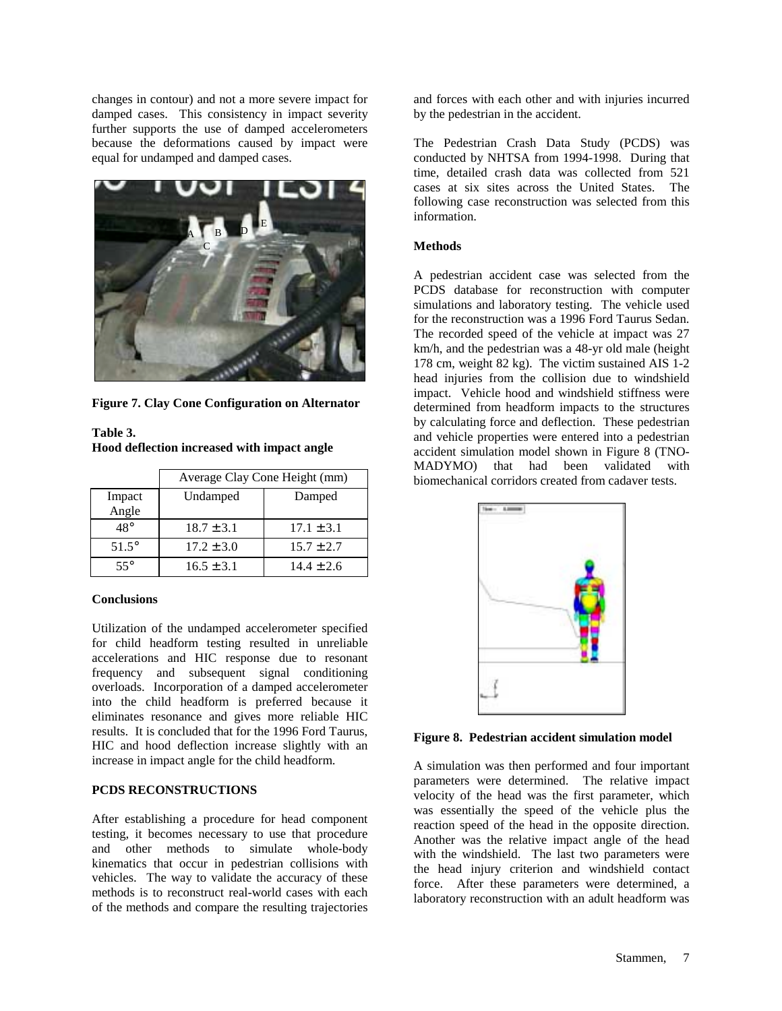changes in contour) and not a more severe impact for damped cases. This consistency in impact severity further supports the use of damped accelerometers because the deformations caused by impact were equal for undamped and damped cases.



**Figure 7. Clay Cone Configuration on Alternator** 

| Table 3.                                    |  |  |
|---------------------------------------------|--|--|
| Hood deflection increased with impact angle |  |  |

|                 | Average Clay Cone Height (mm) |                |
|-----------------|-------------------------------|----------------|
| Impact<br>Angle | Undamped                      | Damped         |
| $48^\circ$      | $18.7 \pm 3.1$                | $17.1 \pm 3.1$ |
| $51.5^\circ$    | $17.2 \pm 3.0$                | $15.7 \pm 2.7$ |
| $55^{\circ}$    | $16.5 \pm 3.1$                | $14.4 \pm 2.6$ |

#### **Conclusions**

Utilization of the undamped accelerometer specified for child headform testing resulted in unreliable accelerations and HIC response due to resonant frequency and subsequent signal conditioning overloads. Incorporation of a damped accelerometer into the child headform is preferred because it eliminates resonance and gives more reliable HIC results. It is concluded that for the 1996 Ford Taurus, HIC and hood deflection increase slightly with an increase in impact angle for the child headform.

# **PCDS RECONSTRUCTIONS**

After establishing a procedure for head component testing, it becomes necessary to use that procedure and other methods to simulate whole-body kinematics that occur in pedestrian collisions with vehicles. The way to validate the accuracy of these methods is to reconstruct real-world cases with each of the methods and compare the resulting trajectories

and forces with each other and with injuries incurred by the pedestrian in the accident.

The Pedestrian Crash Data Study (PCDS) was conducted by NHTSA from 1994-1998. During that time, detailed crash data was collected from 521 cases at six sites across the United States. The following case reconstruction was selected from this information.

### **Methods**

A pedestrian accident case was selected from the PCDS database for reconstruction with computer simulations and laboratory testing. The vehicle used for the reconstruction was a 1996 Ford Taurus Sedan. The recorded speed of the vehicle at impact was 27 km/h, and the pedestrian was a 48-yr old male (height 178 cm, weight 82 kg). The victim sustained AIS 1-2 head injuries from the collision due to windshield impact. Vehicle hood and windshield stiffness were determined from headform impacts to the structures by calculating force and deflection. These pedestrian and vehicle properties were entered into a pedestrian accident simulation model shown in Figure 8 (TNO-MADYMO) that had been validated with biomechanical corridors created from cadaver tests.



**Figure 8. Pedestrian accident simulation model** 

A simulation was then performed and four important parameters were determined. The relative impact velocity of the head was the first parameter, which was essentially the speed of the vehicle plus the reaction speed of the head in the opposite direction. Another was the relative impact angle of the head with the windshield. The last two parameters were the head injury criterion and windshield contact force. After these parameters were determined, a laboratory reconstruction with an adult headform was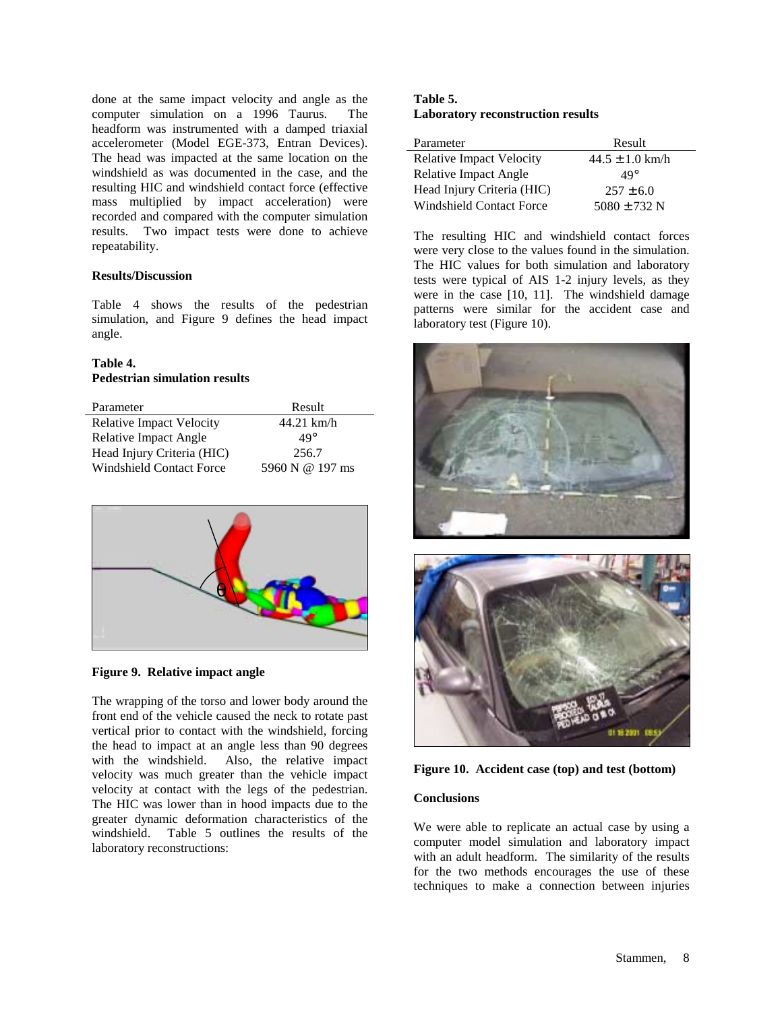done at the same impact velocity and angle as the computer simulation on a 1996 Taurus. The headform was instrumented with a damped triaxial accelerometer (Model EGE-373, Entran Devices). The head was impacted at the same location on the windshield as was documented in the case, and the resulting HIC and windshield contact force (effective mass multiplied by impact acceleration) were recorded and compared with the computer simulation results. Two impact tests were done to achieve repeatability.

#### **Results/Discussion**

Table 4 shows the results of the pedestrian simulation, and Figure 9 defines the head impact angle.

# **Table 4. Pedestrian simulation results**

| Parameter                       | Result          |
|---------------------------------|-----------------|
| <b>Relative Impact Velocity</b> | $44.21$ km/h    |
| <b>Relative Impact Angle</b>    | $49^\circ$      |
| Head Injury Criteria (HIC)      | 256.7           |
| <b>Windshield Contact Force</b> | 5960 N @ 197 ms |



**Figure 9. Relative impact angle** 

The wrapping of the torso and lower body around the front end of the vehicle caused the neck to rotate past vertical prior to contact with the windshield, forcing the head to impact at an angle less than 90 degrees with the windshield. Also, the relative impact velocity was much greater than the vehicle impact velocity at contact with the legs of the pedestrian. The HIC was lower than in hood impacts due to the greater dynamic deformation characteristics of the windshield. Table 5 outlines the results of the laboratory reconstructions:

# **Table 5. Laboratory reconstruction results**

| Parameter                       | Result              |
|---------------------------------|---------------------|
| <b>Relative Impact Velocity</b> | $44.5 \pm 1.0$ km/h |
| Relative Impact Angle           | $49^\circ$          |
| Head Injury Criteria (HIC)      | $257 + 6.0$         |
| <b>Windshield Contact Force</b> | $5080 \pm 732$ N    |

The resulting HIC and windshield contact forces were very close to the values found in the simulation. The HIC values for both simulation and laboratory tests were typical of AIS 1-2 injury levels, as they were in the case [10, 11]. The windshield damage patterns were similar for the accident case and laboratory test (Figure 10).



**Figure 10. Accident case (top) and test (bottom)** 

# **Conclusions**

We were able to replicate an actual case by using a computer model simulation and laboratory impact with an adult headform. The similarity of the results for the two methods encourages the use of these techniques to make a connection between injuries